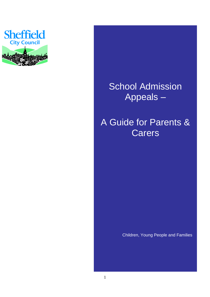

# School Admission Appeals –

## A Guide for Parents & **Carers**

Children, Young People and Families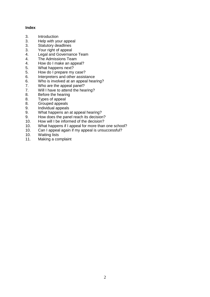#### **Index**

- 3. Introduction<br>3. Help with vo
- 3. Help with your appeal<br>3. Statutory deadlines
- 3. Statutory deadlines<br>3. Your right of appeal
- Your right of appeal
- 4. Legal and Governance Team
- 4. The Admissions Team
- 4. How do I make an appeal?
- 5. What happens next?
- 5. How do I prepare my case?<br>6. Interpreters and other assist
- 6. Interpreters and other assistance<br>6. Who is involved at an appeal hear
- Who is involved at an appeal hearing?
- 7. Who are the appeal panel?
- 7. Will I have to attend the hearing?
- 8. Before the hearing
- 8. Types of appeal
- 8. Grouped appeals
- 9. Individual appeals<br>9. What happens an
- What happens an at appeal hearing?
- 9. How does the panel reach its decision?
- 10. How will I be informed of the decision?
- 10. What happens if I appeal for more than one school?
- 10. Can I appeal again if my appeal is unsuccessful?
- 10. Waiting lists<br>11. Making a cor
- Making a complaint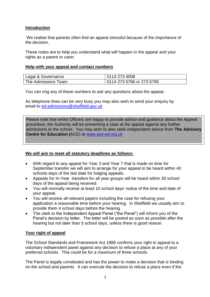## **Introduction**

We realise that parents often find an appeal stressful because of the importance of the decision.

These notes are to help you understand what will happen in the appeal and your rights as a parent or carer.

## **Help with your appeal and contact numbers**

| Legal & Governance  | 0114 273 4008             |
|---------------------|---------------------------|
| The Admissions Team | 0114 273 5766 or 273 5790 |

You can ring any of these numbers to ask any questions about the appeal.

As telephone lines can be very busy you may also wish to send your enquiry by email to [ed-admissions@sheffield.gov.uk](mailto:ed-admissions@sheffield.gov.uk)

Please note that whilst Officers are happy to provide advice and guidance about the Appeal procedure, the Authority will be presenting a case at the appeal against any further admissions to the school. You may wish to also seek independent advice from **The Advisory Centre for Education (**ACE) at [www.ace-ed.org.uk](http://www.ace-ed.org.uk/)

## **We will aim to meet all statutory deadlines as follows:**

- With regard to any appeal for Year 3 and Year 7 that is made on time for September transfer we will aim to arrange for your appeal to be heard within 40 schools days of the last date for lodging appeals.
- Appeals for In-Year transfers for all year groups will be heard within 30 school days of the appeal being received.
- You will normally receive at least 10 school days' notice of the time and date of your appeal.
- You will receive all relevant papers including the case for refusing your application a reasonable time before your hearing. In Sheffield we usually aim to provide them 4 school days before the hearing
- The clerk to the Independent Appeal Panel ("the Panel") will inform you of the Panel's decision by letter. The letter will be posted as soon as possible after the hearing but not later than 5 school days, unless there is good reason.

## **Your right of appeal**

The School Standards and Framework Act 1988 confirms your right to appeal to a voluntary independent panel against any decision to refuse a place at any of your preferred schools. This could be for a maximum of three schools.

The Panel is legally constituted and has the power to make a decision that is binding on the school and parents. It can overrule the decision to refuse a place even if the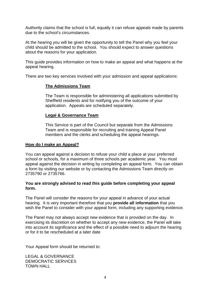Authority claims that the school is full, equally it can refuse appeals made by parents due to the school's circumstances.

At the hearing you will be given the opportunity to tell the Panel why you feel your child should be admitted to the school. You should expect to answer questions about the reasons for your application.

This guide provides information on how to make an appeal and what happens at the appeal hearing.

There are two key services involved with your admission and appeal applications:

## **The Admissions Team**

The Team is responsible for administering all applications submitted by Sheffield residents and for notifying you of the outcome of your application. Appeals are scheduled separately.

## **Legal & Governance Team**

This Service is part of the Council but separate from the Admissions Team and is responsible for recruiting and training Appeal Panel members and the clerks and scheduling the appeal hearings.

#### **How do I make an Appeal?**

You can appeal against a decision to refuse your child a place at your preferred school or schools, for a maximum of three schools per academic year. You must appeal against the decision in writing by completing an appeal form. You can obtain a form by visiting our website or by contacting the Admissions Team directly on 2735790 or 2735766.

#### **You are strongly advised to read this guide before completing your appeal form.**

The Panel will consider the reasons for your appeal in advance of your actual hearing. It is very important therefore that you **provide all information** that you wish the Panel to consider with your appeal form, including any supporting evidence.

The Panel may not always accept new evidence that is provided on the day. In exercising its discretion on whether to accept any new evidence, the Panel will take into account its significance and the effect of a possible need to adjourn the hearing or for it to be rescheduled at a later date

Your Appeal form should be returned to:

LEGAL & GOVERNANCE DEMOCRATIC SERVICES TOWN HALL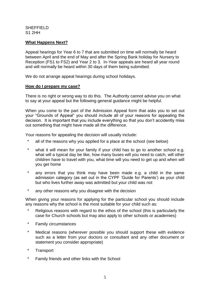**SHEFFIELD** S1 2HH

## **What Happens Next?**

Appeal hearings for Year 6 to 7 that are submitted on time will normally be heard between April and the end of May and after the Spring Bank holiday for Nursery to Reception (FS1 to FS2) and Year 2 to 3. In-Year appeals are heard all year round and will normally be heard within 30 days of them being submitted.

We do not arrange appeal hearings during school holidays.

#### **How do I prepare my case?**

There is no right or wrong way to do this. The Authority cannot advise you on what to say at your appeal but the following general guidance might be helpful.

When you come to the part of the Admission Appeal form that asks you to set out your "Grounds of Appeal" you should include all of your reasons for appealing the decision. It is important that you include everything so that you don't accidently miss out something that might have made all the difference.

Your reasons for appealing the decision will usually include:

- all of the reasons why you applied for a place at the school (see below)
- \* what it will mean for your family if your child has to go to another school e.g. what will a typical day be like, how many buses will you need to catch, will other children have to travel with you, what time will you need to get up and when will you get home
- \* any errors that you think may have been made e.g. a child in the same admission category (as set out in the CYPF 'Guide for Parents') as your child but who lives further away was admitted but your child was not
- \* any other reasons why you disagree with the decision

When giving your reasons for applying for the particular school you should include any reasons why the school is the most suitable for your child such as:

- Religious reasons with regard to the ethos of the school (this is particularly the case for Church schools but may also apply to other schools or academies)
- \* Family circumstances
- \* Medical reasons (wherever possible you should support these with evidence such as a letter from your doctors or consultant and any other document or statement you consider appropriate)
- **Transport**
- \* Family friends and other links with the School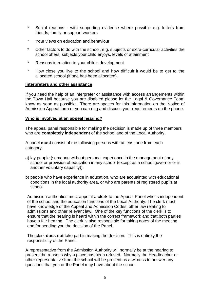- \* Social reasons with supporting evidence where possible e.g. letters from friends, family or support workers
- \* Your views on education and behaviour
- Other factors to do with the school, e.g. subjects or extra-curricular activities the school offers, subjects your child enjoys, levels of attainment
- \* Reasons in relation to your child's development
- \* How close you live to the school and how difficult it would be to get to the allocated school (if one has been allocated).

## **Interpreters and other assistance**

If you need the help of an interpreter or assistance with access arrangements within the Town Hall because you are disabled please let the Legal & Governance Team know as soon as possible. There are spaces for this information on the Notice of Admission Appeal form or you can ring and discuss your requirements on the phone.

## **Who is involved at an appeal hearing?**

The appeal panel responsible for making the decision is made up of three members who are **completely independent** of the school and of the Local Authority.

A panel **must** consist of the following persons with at least one from each category:

- a) lay people (someone without personal experience in the management of any school or provision of education in any school (except as a school governor or in another voluntary capacity));
- b) people who have experience in education, who are acquainted with educational conditions in the local authority area, or who are parents of registered pupils at school.

Admission authorities must appoint a **clerk** to the Appeal Panel who is independent of the school and the education functions of the Local Authority. The clerk must have knowledge of the Appeal and Admission Codes, other law relating to admissions and other relevant law. One of the key functions of the clerk is to ensure that the hearing is heard within the correct framework and that both parties have a fair hearing. The clerk is also responsible for taking notes of the meeting and for sending you the decision of the Panel.

The clerk **does not** take part in making the decision. This is entirely the responsibility of the Panel.

A representative from the Admission Authority will normally be at the hearing to present the reasons why a place has been refused. Normally the Headteacher or other representative from the school will be present as a witness to answer any questions that you or the Panel may have about the school.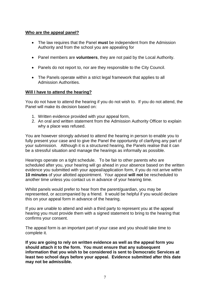## **Who are the appeal panel?**

- The law requires that the Panel **must** be independent from the Admission Authority and from the school you are appealing for
- Panel members are **volunteers**, they are not paid by the Local Authority.
- Panels do not report to, nor are they responsible to the City Council.
- The Panels operate within a strict legal framework that applies to all Admission Authorities.

## **Will I have to attend the hearing?**

You do not have to attend the hearing if you do not wish to. If you do not attend, the Panel will make its decision based on:

- 1. Written evidence provided with your appeal form,
- 2. An oral and written statement from the Admission Authority Officer to explain why a place was refused.

You are however strongly advised to attend the hearing in person to enable you to fully present your case and to give the Panel the opportunity of clarifying any part of your submission. Although it is a structured hearing, the Panels realise that it can be a stressful situation and manage the hearings as informally as possible.

Hearings operate on a tight schedule. To be fair to other parents who are scheduled after you, your hearing will go ahead in your absence based on the written evidence you submitted with your appeal/application form, if you do not arrive within **10 minutes** of your allotted appointment. Your appeal **will not** be rescheduled to another time unless you contact us in advance of your hearing time.

Whilst panels would prefer to hear from the parent/guardian, you may be represented, or accompanied by a friend. It would be helpful if you would declare this on your appeal form in advance of the hearing.

If you are unable to attend and wish a third party to represent you at the appeal hearing you must provide them with a signed statement to bring to the hearing that confirms your consent.

The appeal form is an important part of your case and you should take time to complete it.

**If you are going to rely on written evidence as well as the appeal form you should attach it to the form. You must ensure that any subsequent information that you wish to be considered is sent to Democratic Services at least two school days before your appeal. Evidence submitted after this date may not be admissible.**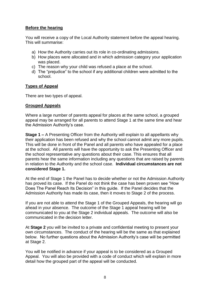## **Before the hearing**

You will receive a copy of the Local Authority statement before the appeal hearing. This will summarise:

- a) How the Authority carries out its role in co-ordinating admissions.
- b) How places were allocated and in which admission category your application was placed.
- c) The reason why your child was refused a place at the school.
- d) The "prejudice" to the school if any additional children were admitted to the school.

## **Types of Appeal**

There are two types of appeal.

#### **Grouped Appeals**

Where a large number of parents appeal for places at the same school, a grouped appeal may be arranged for all parents to attend Stage 1 at the same time and hear the Admission Authority's case.

**Stage 1 –** A Presenting Officer from the Authority will explain to all appellants why their application has been refused and why the school cannot admit any more pupils. This will be done in front of the Panel and all parents who have appealed for a place at the school. All parents will have the opportunity to ask the Presenting Officer and the school representative any questions about their case. This ensures that all parents hear the same information including any questions that are raised by parents in relation to the Authority and the school case. **Individual circumstances are not considered Stage 1.**

At the end of Stage 1 the Panel has to decide whether or not the Admission Authority has proved its case. If the Panel do not think the case has been proven see "How Does The Panel Reach Its Decision" in this guide. If the Panel decides that the Admission Authority has made its case, then it moves to Stage 2 of the process.

If you are not able to attend the Stage 1 of the Grouped Appeals, the hearing will go ahead in your absence. The outcome of the Stage 1 appeal hearing will be communicated to you at the Stage 2 individual appeals. The outcome will also be communicated in the decision letter.

At **Stage 2** you will be invited to a private and confidential meeting to present your own circumstances. The conduct of the hearing will be the same as that explained below. No further questions about the Admission Authority's case will be permitted at Stage 2.

You will be notified in advance if your appeal is to be considered as a Grouped Appeal. You will also be provided with a code of conduct which will explain in more detail how the grouped part of the appeal will be conducted.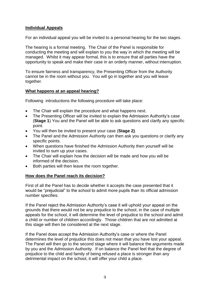## **Individual Appeals**

For an individual appeal you will be invited to a personal hearing for the two stages.

The hearing is a formal meeting. The Chair of the Panel is responsible for conducting the meeting and will explain to you the way in which the meeting will be managed. Whilst it may appear formal, this is to ensure that all parties have the opportunity to speak and make their case in an orderly manner, without interruption.

To ensure fairness and transparency, the Presenting Officer from the Authority cannot be in the room without you. You will go in together and you will leave together.

## **What happens at an appeal hearing?**

Following introductions the following procedure will take place:

- The Chair will explain the procedure and what happens next.
- The Presenting Officer will be invited to explain the Admission Authority's case (**Stage 1**) You and the Panel will be able to ask questions and clarify any specific point.
- You will then be invited to present your case (**Stage 2)**.
- The Panel and the Admission Authority can then ask you questions or clarify any specific points.
- When questions have finished the Admission Authority then yourself will be invited to sum up your cases.
- The Chair will explain how the decision will be made and how you will be informed of the decision.
- Both parties will then leave the room together.

## **How does the Panel reach its decision?**

First of all the Panel has to decide whether it accepts the case presented that it would be "prejudicial" to the school to admit more pupils than its official admission number specifies.

If the Panel reject the Admission Authority's case it will uphold your appeal on the grounds that there would not be any prejudice to the school, in the case of multiple appeals for the school, it will determine the level of prejudice to the school and admit a child or number of children accordingly. Those children that are not admitted at this stage will then be considered at the next stage.

If the Panel does accept the Admission Authority's case or where the Panel determines the level of prejudice this does not mean that you have lost your appeal. The Panel will then go to the second stage where it will balance the arguments made by you and the Admission Authority. If on balance the Panel feel that the degree of prejudice to the child and family of being refused a place is stronger than any detrimental impact on the school, it will offer your child a place.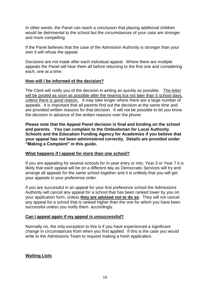In other words, the Panel can reach a conclusion that placing additional children would be detrimental to the school but the circumstances of your case are stronger and more compelling.

If the Panel believes that the case of the Admission Authority is stronger than your own it will refuse the appeal.

Decisions are not made after each individual appeal. Where there are multiple appeals the Panel will hear them all before returning to the first one and considering each, one at a time.

## **How will I be informed of the decision?**

The Clerk will notify you of the decision in writing as quickly as possible. The letter will be posted as soon as possible after the hearing but not later than 5 school days, unless there is good reason. It may take longer where there are a large number of appeals. It is important that all parents find out the decision at the same time and are provided written reasons for that decision. It will not be possible to let you know the decision in advance of the written reasons over the phone.

**Please note that the Appeal Panel decision is final and binding on the school and parents. You can complain to the Ombudsman for Local Authority Schools and the Education Funding Agency for Academies if you believe that your appeal has not been administered correctly. Details are provided under "Making a Complaint" in this guide.**

## **What happens if I appeal for more than one school?**

If you are appealing for several schools for in-year entry or into, Year 3 or Year 7 it is likely that each appeal will be on a different day as Democratic Services will try and arrange all appeals for the same school together and it is unlikely that you will get your appeals in your preference order.

If you are successful in an appeal for your first preference school the Admissions Authority will cancel any appeal for a school that has been ranked lower by you on your application form, unless **they are advised not to do so**. They will not cancel any appeal for a school that is ranked higher than the one for which you have been successful unless you notify them accordingly.

## **Can I appeal again if my appeal is unsuccessful?**

Normally no, the only exception to this is if you have experienced a significant change in circumstances from when you first applied. If this is the case you would write to the Admissions Team to request making a fresh application.

## **Waiting Lists**